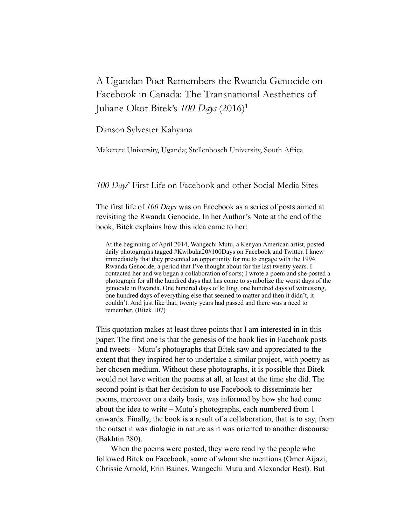# A Ugandan Poet Remembers the Rwanda Genocide on Facebook in Canada: The Transnational Aesthetics of Juliane Okot Bitek's *100 Days* (2016)1

### Danson Sylvester Kahyana

Makerere University, Uganda; Stellenbosch University, South Africa

# *100 Days*' First Life on Facebook and other Social Media Sites

The first life of *100 Days* was on Facebook as a series of posts aimed at revisiting the Rwanda Genocide. In her Author's Note at the end of the book, Bitek explains how this idea came to her:

At the beginning of April 2014, Wangechi Mutu, a Kenyan American artist, posted daily photographs tagged #Kwibuka20#100Days on Facebook and Twitter. I knew immediately that they presented an opportunity for me to engage with the 1994 Rwanda Genocide, a period that I've thought about for the last twenty years. I contacted her and we began a collaboration of sorts; I wrote a poem and she posted a photograph for all the hundred days that has come to symbolize the worst days of the genocide in Rwanda. One hundred days of killing, one hundred days of witnessing, one hundred days of everything else that seemed to matter and then it didn't, it couldn't. And just like that, twenty years had passed and there was a need to remember. (Bitek 107)

This quotation makes at least three points that I am interested in in this paper. The first one is that the genesis of the book lies in Facebook posts and tweets – Mutu's photographs that Bitek saw and appreciated to the extent that they inspired her to undertake a similar project, with poetry as her chosen medium. Without these photographs, it is possible that Bitek would not have written the poems at all, at least at the time she did. The second point is that her decision to use Facebook to disseminate her poems, moreover on a daily basis, was informed by how she had come about the idea to write – Mutu's photographs, each numbered from 1 onwards. Finally, the book is a result of a collaboration, that is to say, from the outset it was dialogic in nature as it was oriented to another discourse (Bakhtin 280).

When the poems were posted, they were read by the people who followed Bitek on Facebook, some of whom she mentions (Omer Aijazi, Chrissie Arnold, Erin Baines, Wangechi Mutu and Alexander Best). But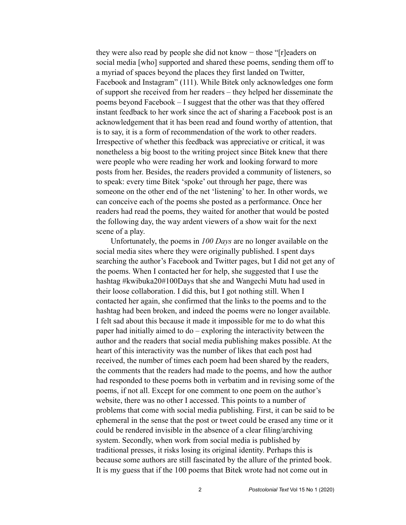they were also read by people she did not know − those "[r]eaders on social media [who] supported and shared these poems, sending them off to a myriad of spaces beyond the places they first landed on Twitter, Facebook and Instagram" (111). While Bitek only acknowledges one form of support she received from her readers – they helped her disseminate the poems beyond Facebook – I suggest that the other was that they offered instant feedback to her work since the act of sharing a Facebook post is an acknowledgement that it has been read and found worthy of attention, that is to say, it is a form of recommendation of the work to other readers. Irrespective of whether this feedback was appreciative or critical, it was nonetheless a big boost to the writing project since Bitek knew that there were people who were reading her work and looking forward to more posts from her. Besides, the readers provided a community of listeners, so to speak: every time Bitek 'spoke' out through her page, there was someone on the other end of the net 'listening' to her. In other words, we can conceive each of the poems she posted as a performance. Once her readers had read the poems, they waited for another that would be posted the following day, the way ardent viewers of a show wait for the next scene of a play.

Unfortunately, the poems in *100 Days* are no longer available on the social media sites where they were originally published. I spent days searching the author's Facebook and Twitter pages, but I did not get any of the poems. When I contacted her for help, she suggested that I use the hashtag #kwibuka20#100Days that she and Wangechi Mutu had used in their loose collaboration. I did this, but I got nothing still. When I contacted her again, she confirmed that the links to the poems and to the hashtag had been broken, and indeed the poems were no longer available. I felt sad about this because it made it impossible for me to do what this paper had initially aimed to do – exploring the interactivity between the author and the readers that social media publishing makes possible. At the heart of this interactivity was the number of likes that each post had received, the number of times each poem had been shared by the readers, the comments that the readers had made to the poems, and how the author had responded to these poems both in verbatim and in revising some of the poems, if not all. Except for one comment to one poem on the author's website, there was no other I accessed. This points to a number of problems that come with social media publishing. First, it can be said to be ephemeral in the sense that the post or tweet could be erased any time or it could be rendered invisible in the absence of a clear filing/archiving system. Secondly, when work from social media is published by traditional presses, it risks losing its original identity. Perhaps this is because some authors are still fascinated by the allure of the printed book. It is my guess that if the 100 poems that Bitek wrote had not come out in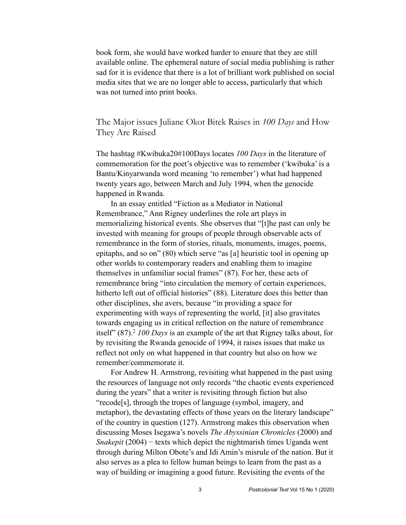book form, she would have worked harder to ensure that they are still available online. The ephemeral nature of social media publishing is rather sad for it is evidence that there is a lot of brilliant work published on social media sites that we are no longer able to access, particularly that which was not turned into print books.

The Major issues Juliane Okot Bitek Raises in *100 Days* and How They Are Raised

The hashtag #Kwibuka20#100Days locates *100 Days* in the literature of commemoration for the poet's objective was to remember ('kwibuka' is a Bantu/Kinyarwanda word meaning 'to remember') what had happened twenty years ago, between March and July 1994, when the genocide happened in Rwanda.

In an essay entitled "Fiction as a Mediator in National Remembrance," Ann Rigney underlines the role art plays in memorializing historical events. She observes that "[t]he past can only be invested with meaning for groups of people through observable acts of remembrance in the form of stories, rituals, monuments, images, poems, epitaphs, and so on" (80) which serve "as [a] heuristic tool in opening up other worlds to contemporary readers and enabling them to imagine themselves in unfamiliar social frames" (87). For her, these acts of remembrance bring "into circulation the memory of certain experiences, hitherto left out of official histories" (88). Literature does this better than other disciplines, she avers, because "in providing a space for experimenting with ways of representing the world, [it] also gravitates towards engaging us in critical reflection on the nature of remembrance itself" (87).2 *100 Days* is an example of the art that Rigney talks about, for by revisiting the Rwanda genocide of 1994, it raises issues that make us reflect not only on what happened in that country but also on how we remember/commemorate it.

For Andrew H. Armstrong, revisiting what happened in the past using the resources of language not only records "the chaotic events experienced during the years" that a writer is revisiting through fiction but also "recode[s], through the tropes of language (symbol, imagery, and metaphor), the devastating effects of those years on the literary landscape" of the country in question (127). Armstrong makes this observation when discussing Moses Isegawa's novels *The Abyssinian Chronicles* (2000) and *Snakepit* (2004) − texts which depict the nightmarish times Uganda went through during Milton Obote's and Idi Amin's misrule of the nation. But it also serves as a plea to fellow human beings to learn from the past as a way of building or imagining a good future. Revisiting the events of the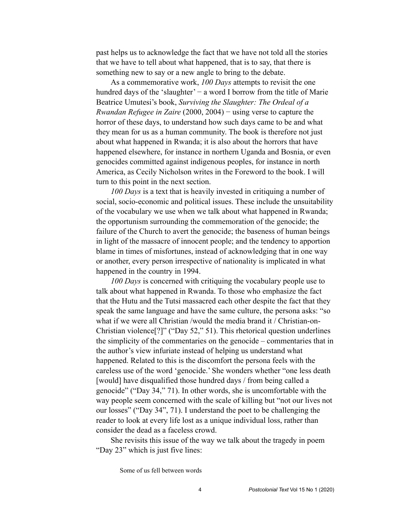past helps us to acknowledge the fact that we have not told all the stories that we have to tell about what happened, that is to say, that there is something new to say or a new angle to bring to the debate.

As a commemorative work, *100 Days* attempts to revisit the one hundred days of the 'slaughter' − a word I borrow from the title of Marie Beatrice Umutesi's book, *Surviving the Slaughter: The Ordeal of a Rwandan Refugee in Zaire* (2000, 2004) − using verse to capture the horror of these days, to understand how such days came to be and what they mean for us as a human community. The book is therefore not just about what happened in Rwanda; it is also about the horrors that have happened elsewhere, for instance in northern Uganda and Bosnia, or even genocides committed against indigenous peoples, for instance in north America, as Cecily Nicholson writes in the Foreword to the book. I will turn to this point in the next section.

*100 Days* is a text that is heavily invested in critiquing a number of social, socio-economic and political issues. These include the unsuitability of the vocabulary we use when we talk about what happened in Rwanda; the opportunism surrounding the commemoration of the genocide; the failure of the Church to avert the genocide; the baseness of human beings in light of the massacre of innocent people; and the tendency to apportion blame in times of misfortunes, instead of acknowledging that in one way or another, every person irrespective of nationality is implicated in what happened in the country in 1994.

*100 Days* is concerned with critiquing the vocabulary people use to talk about what happened in Rwanda. To those who emphasize the fact that the Hutu and the Tutsi massacred each other despite the fact that they speak the same language and have the same culture, the persona asks: "so what if we were all Christian /would the media brand it / Christian-on-Christian violence[?]" ("Day 52," 51). This rhetorical question underlines the simplicity of the commentaries on the genocide – commentaries that in the author's view infuriate instead of helping us understand what happened. Related to this is the discomfort the persona feels with the careless use of the word 'genocide.' She wonders whether "one less death [would] have disqualified those hundred days / from being called a genocide" ("Day 34," 71). In other words, she is uncomfortable with the way people seem concerned with the scale of killing but "not our lives not our losses" ("Day 34", 71). I understand the poet to be challenging the reader to look at every life lost as a unique individual loss, rather than consider the dead as a faceless crowd.

She revisits this issue of the way we talk about the tragedy in poem "Day 23" which is just five lines:

Some of us fell between words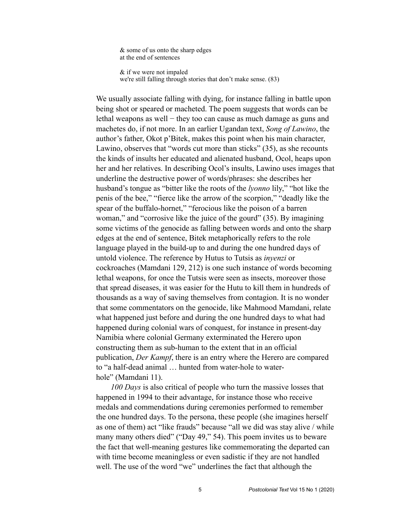& some of us onto the sharp edges at the end of sentences

 & if we were not impaled we're still falling through stories that don't make sense. (83)

We usually associate falling with dying, for instance falling in battle upon being shot or speared or macheted. The poem suggests that words can be lethal weapons as well − they too can cause as much damage as guns and machetes do, if not more. In an earlier Ugandan text, *Song of Lawino*, the author's father, Okot p'Bitek, makes this point when his main character, Lawino, observes that "words cut more than sticks" (35), as she recounts the kinds of insults her educated and alienated husband, Ocol, heaps upon her and her relatives. In describing Ocol's insults, Lawino uses images that underline the destructive power of words/phrases: she describes her husband's tongue as "bitter like the roots of the *lyonno* lily," "hot like the penis of the bee," "fierce like the arrow of the scorpion," "deadly like the spear of the buffalo-hornet," "ferocious like the poison of a barren woman," and "corrosive like the juice of the gourd" (35). By imagining some victims of the genocide as falling between words and onto the sharp edges at the end of sentence, Bitek metaphorically refers to the role language played in the build-up to and during the one hundred days of untold violence. The reference by Hutus to Tutsis as *inyenzi* or cockroaches (Mamdani 129, 212) is one such instance of words becoming lethal weapons, for once the Tutsis were seen as insects, moreover those that spread diseases, it was easier for the Hutu to kill them in hundreds of thousands as a way of saving themselves from contagion. It is no wonder that some commentators on the genocide, like Mahmood Mamdani, relate what happened just before and during the one hundred days to what had happened during colonial wars of conquest, for instance in present-day Namibia where colonial Germany exterminated the Herero upon constructing them as sub-human to the extent that in an official publication, *Der Kampf*, there is an entry where the Herero are compared to "a half-dead animal … hunted from water-hole to waterhole" (Mamdani 11).

*100 Days* is also critical of people who turn the massive losses that happened in 1994 to their advantage, for instance those who receive medals and commendations during ceremonies performed to remember the one hundred days. To the persona, these people (she imagines herself as one of them) act "like frauds" because "all we did was stay alive / while many many others died" ("Day 49," 54). This poem invites us to beware the fact that well-meaning gestures like commemorating the departed can with time become meaningless or even sadistic if they are not handled well. The use of the word "we" underlines the fact that although the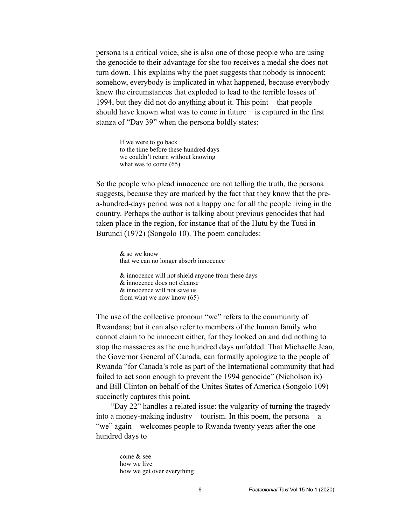persona is a critical voice, she is also one of those people who are using the genocide to their advantage for she too receives a medal she does not turn down. This explains why the poet suggests that nobody is innocent; somehow, everybody is implicated in what happened, because everybody knew the circumstances that exploded to lead to the terrible losses of 1994, but they did not do anything about it. This point − that people should have known what was to come in future  $-$  is captured in the first stanza of "Day 39" when the persona boldly states:

If we were to go back to the time before these hundred days we couldn't return without knowing what was to come  $(65)$ .

So the people who plead innocence are not telling the truth, the persona suggests, because they are marked by the fact that they know that the prea-hundred-days period was not a happy one for all the people living in the country. Perhaps the author is talking about previous genocides that had taken place in the region, for instance that of the Hutu by the Tutsi in Burundi (1972) (Songolo 10). The poem concludes:

> & so we know that we can no longer absorb innocence & innocence will not shield anyone from these days

 & innocence does not cleanse & innocence will not save us from what we now know (65)

The use of the collective pronoun "we" refers to the community of Rwandans; but it can also refer to members of the human family who cannot claim to be innocent either, for they looked on and did nothing to stop the massacres as the one hundred days unfolded. That Michaelle Jean, the Governor General of Canada, can formally apologize to the people of Rwanda "for Canada's role as part of the International community that had failed to act soon enough to prevent the 1994 genocide" (Nicholson ix) and Bill Clinton on behalf of the Unites States of America (Songolo 109) succinctly captures this point.

"Day 22" handles a related issue: the vulgarity of turning the tragedy into a money-making industry  $-$  tourism. In this poem, the persona  $-$  a "we" again − welcomes people to Rwanda twenty years after the one hundred days to

come & see how we live how we get over everything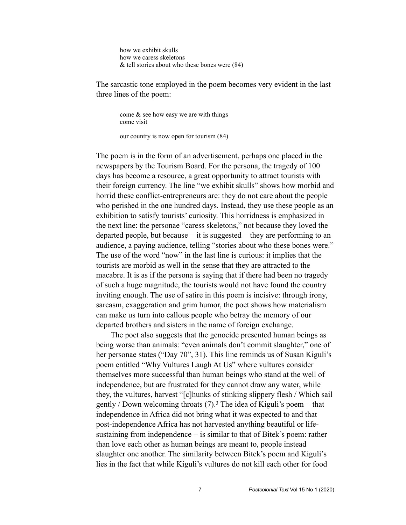how we exhibit skulls how we caress skeletons & tell stories about who these bones were (84)

The sarcastic tone employed in the poem becomes very evident in the last three lines of the poem:

come  $\&$  see how easy we are with things come visit

our country is now open for tourism (84)

The poem is in the form of an advertisement, perhaps one placed in the newspapers by the Tourism Board. For the persona, the tragedy of 100 days has become a resource, a great opportunity to attract tourists with their foreign currency. The line "we exhibit skulls" shows how morbid and horrid these conflict-entrepreneurs are: they do not care about the people who perished in the one hundred days. Instead, they use these people as an exhibition to satisfy tourists' curiosity. This horridness is emphasized in the next line: the personae "caress skeletons," not because they loved the departed people, but because  $-$  it is suggested  $-$  they are performing to an audience, a paying audience, telling "stories about who these bones were." The use of the word "now" in the last line is curious: it implies that the tourists are morbid as well in the sense that they are attracted to the macabre. It is as if the persona is saying that if there had been no tragedy of such a huge magnitude, the tourists would not have found the country inviting enough. The use of satire in this poem is incisive: through irony, sarcasm, exaggeration and grim humor, the poet shows how materialism can make us turn into callous people who betray the memory of our departed brothers and sisters in the name of foreign exchange.

The poet also suggests that the genocide presented human beings as being worse than animals: "even animals don't commit slaughter," one of her personae states ("Day 70", 31). This line reminds us of Susan Kiguli's poem entitled "Why Vultures Laugh At Us" where vultures consider themselves more successful than human beings who stand at the well of independence, but are frustrated for they cannot draw any water, while they, the vultures, harvest "[c]hunks of stinking slippery flesh / Which sail gently / Down welcoming throats (7).3 The idea of Kiguli's poem − that independence in Africa did not bring what it was expected to and that post-independence Africa has not harvested anything beautiful or lifesustaining from independence – is similar to that of Bitek's poem: rather than love each other as human beings are meant to, people instead slaughter one another. The similarity between Bitek's poem and Kiguli's lies in the fact that while Kiguli's vultures do not kill each other for food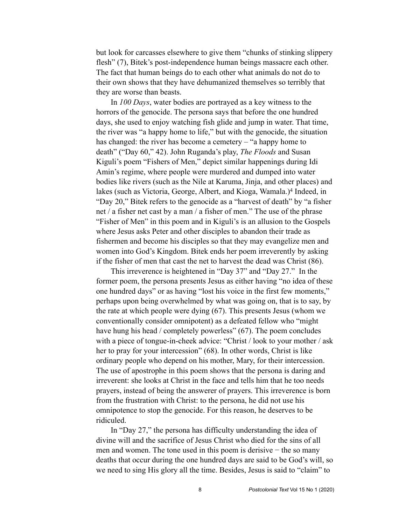but look for carcasses elsewhere to give them "chunks of stinking slippery flesh" (7), Bitek's post-independence human beings massacre each other. The fact that human beings do to each other what animals do not do to their own shows that they have dehumanized themselves so terribly that they are worse than beasts.

In *100 Days*, water bodies are portrayed as a key witness to the horrors of the genocide. The persona says that before the one hundred days, she used to enjoy watching fish glide and jump in water. That time, the river was "a happy home to life," but with the genocide, the situation has changed: the river has become a cemetery – "a happy home to death" ("Day 60," 42). John Ruganda's play, *The Floods* and Susan Kiguli's poem "Fishers of Men," depict similar happenings during Idi Amin's regime, where people were murdered and dumped into water bodies like rivers (such as the Nile at Karuma, Jinja, and other places) and lakes (such as Victoria, George, Albert, and Kioga, Wamala.)4 Indeed, in "Day 20," Bitek refers to the genocide as a "harvest of death" by "a fisher net / a fisher net cast by a man / a fisher of men." The use of the phrase "Fisher of Men" in this poem and in Kiguli's is an allusion to the Gospels where Jesus asks Peter and other disciples to abandon their trade as fishermen and become his disciples so that they may evangelize men and women into God's Kingdom. Bitek ends her poem irreverently by asking if the fisher of men that cast the net to harvest the dead was Christ (86).

This irreverence is heightened in "Day 37" and "Day 27." In the former poem, the persona presents Jesus as either having "no idea of these one hundred days" or as having "lost his voice in the first few moments," perhaps upon being overwhelmed by what was going on, that is to say, by the rate at which people were dying (67). This presents Jesus (whom we conventionally consider omnipotent) as a defeated fellow who "might have hung his head / completely powerless" (67). The poem concludes with a piece of tongue-in-cheek advice: "Christ / look to your mother / ask her to pray for your intercession" (68). In other words, Christ is like ordinary people who depend on his mother, Mary, for their intercession. The use of apostrophe in this poem shows that the persona is daring and irreverent: she looks at Christ in the face and tells him that he too needs prayers, instead of being the answerer of prayers. This irreverence is born from the frustration with Christ: to the persona, he did not use his omnipotence to stop the genocide. For this reason, he deserves to be ridiculed.

In "Day 27," the persona has difficulty understanding the idea of divine will and the sacrifice of Jesus Christ who died for the sins of all men and women. The tone used in this poem is derisive – the so many deaths that occur during the one hundred days are said to be God's will, so we need to sing His glory all the time. Besides, Jesus is said to "claim" to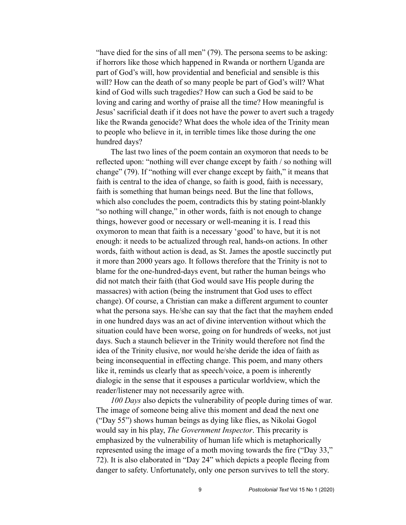"have died for the sins of all men" (79). The persona seems to be asking: if horrors like those which happened in Rwanda or northern Uganda are part of God's will, how providential and beneficial and sensible is this will? How can the death of so many people be part of God's will? What kind of God wills such tragedies? How can such a God be said to be loving and caring and worthy of praise all the time? How meaningful is Jesus' sacrificial death if it does not have the power to avert such a tragedy like the Rwanda genocide? What does the whole idea of the Trinity mean to people who believe in it, in terrible times like those during the one hundred days?

The last two lines of the poem contain an oxymoron that needs to be reflected upon: "nothing will ever change except by faith / so nothing will change" (79). If "nothing will ever change except by faith," it means that faith is central to the idea of change, so faith is good, faith is necessary, faith is something that human beings need. But the line that follows, which also concludes the poem, contradicts this by stating point-blankly "so nothing will change," in other words, faith is not enough to change things, however good or necessary or well-meaning it is. I read this oxymoron to mean that faith is a necessary 'good' to have, but it is not enough: it needs to be actualized through real, hands-on actions. In other words, faith without action is dead, as St. James the apostle succinctly put it more than 2000 years ago. It follows therefore that the Trinity is not to blame for the one-hundred-days event, but rather the human beings who did not match their faith (that God would save His people during the massacres) with action (being the instrument that God uses to effect change). Of course, a Christian can make a different argument to counter what the persona says. He/she can say that the fact that the mayhem ended in one hundred days was an act of divine intervention without which the situation could have been worse, going on for hundreds of weeks, not just days. Such a staunch believer in the Trinity would therefore not find the idea of the Trinity elusive, nor would he/she deride the idea of faith as being inconsequential in effecting change. This poem, and many others like it, reminds us clearly that as speech/voice, a poem is inherently dialogic in the sense that it espouses a particular worldview, which the reader/listener may not necessarily agree with.

*100 Days* also depicts the vulnerability of people during times of war. The image of someone being alive this moment and dead the next one ("Day 55") shows human beings as dying like flies, as Nikolai Gogol would say in his play, *The Government Inspector*. This precarity is emphasized by the vulnerability of human life which is metaphorically represented using the image of a moth moving towards the fire ("Day 33," 72). It is also elaborated in "Day 24" which depicts a people fleeing from danger to safety. Unfortunately, only one person survives to tell the story.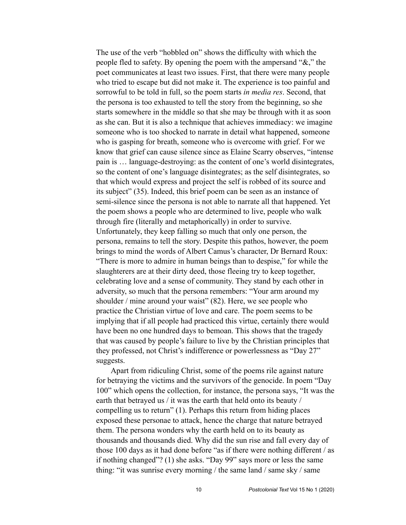The use of the verb "hobbled on" shows the difficulty with which the people fled to safety. By opening the poem with the ampersand "&," the poet communicates at least two issues. First, that there were many people who tried to escape but did not make it. The experience is too painful and sorrowful to be told in full, so the poem starts *in media res*. Second, that the persona is too exhausted to tell the story from the beginning, so she starts somewhere in the middle so that she may be through with it as soon as she can. But it is also a technique that achieves immediacy: we imagine someone who is too shocked to narrate in detail what happened, someone who is gasping for breath, someone who is overcome with grief. For we know that grief can cause silence since as Elaine Scarry observes, "intense pain is … language-destroying: as the content of one's world disintegrates, so the content of one's language disintegrates; as the self disintegrates, so that which would express and project the self is robbed of its source and its subject" (35). Indeed, this brief poem can be seen as an instance of semi-silence since the persona is not able to narrate all that happened. Yet the poem shows a people who are determined to live, people who walk through fire (literally and metaphorically) in order to survive. Unfortunately, they keep falling so much that only one person, the persona, remains to tell the story. Despite this pathos, however, the poem brings to mind the words of Albert Camus's character, Dr Bernard Roux: "There is more to admire in human beings than to despise," for while the slaughterers are at their dirty deed, those fleeing try to keep together, celebrating love and a sense of community. They stand by each other in adversity, so much that the persona remembers: "Your arm around my shoulder / mine around your waist" (82). Here, we see people who practice the Christian virtue of love and care. The poem seems to be implying that if all people had practiced this virtue, certainly there would have been no one hundred days to bemoan. This shows that the tragedy that was caused by people's failure to live by the Christian principles that they professed, not Christ's indifference or powerlessness as "Day 27" suggests.

Apart from ridiculing Christ, some of the poems rile against nature for betraying the victims and the survivors of the genocide. In poem "Day 100" which opens the collection, for instance, the persona says, "It was the earth that betrayed us / it was the earth that held onto its beauty / compelling us to return" (1). Perhaps this return from hiding places exposed these personae to attack, hence the charge that nature betrayed them. The persona wonders why the earth held on to its beauty as thousands and thousands died. Why did the sun rise and fall every day of those 100 days as it had done before "as if there were nothing different / as if nothing changed"? (1) she asks. "Day 99" says more or less the same thing: "it was sunrise every morning / the same land / same sky / same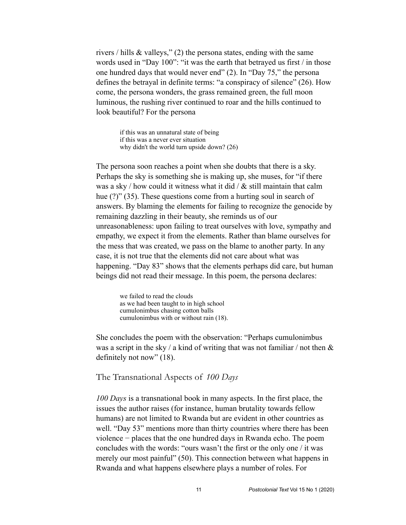rivers / hills & valleys," (2) the persona states, ending with the same words used in "Day 100": "it was the earth that betrayed us first / in those one hundred days that would never end" (2). In "Day 75," the persona defines the betrayal in definite terms: "a conspiracy of silence" (26). How come, the persona wonders, the grass remained green, the full moon luminous, the rushing river continued to roar and the hills continued to look beautiful? For the persona

if this was an unnatural state of being if this was a never ever situation why didn't the world turn upside down? (26)

The persona soon reaches a point when she doubts that there is a sky. Perhaps the sky is something she is making up, she muses, for "if there was a sky / how could it witness what it did /  $&$  still maintain that calm hue (?)" (35). These questions come from a hurting soul in search of answers. By blaming the elements for failing to recognize the genocide by remaining dazzling in their beauty, she reminds us of our unreasonableness: upon failing to treat ourselves with love, sympathy and empathy, we expect it from the elements. Rather than blame ourselves for the mess that was created, we pass on the blame to another party. In any case, it is not true that the elements did not care about what was happening. "Day 83" shows that the elements perhaps did care, but human beings did not read their message. In this poem, the persona declares:

we failed to read the clouds as we had been taught to in high school cumulonimbus chasing cotton balls cumulonimbus with or without rain (18).

She concludes the poem with the observation: "Perhaps cumulonimbus was a script in the sky / a kind of writing that was not familiar / not then  $\&$ definitely not now" (18).

The Transnational Aspects of *100 Days*

*100 Days* is a transnational book in many aspects. In the first place, the issues the author raises (for instance, human brutality towards fellow humans) are not limited to Rwanda but are evident in other countries as well. "Day 53" mentions more than thirty countries where there has been violence − places that the one hundred days in Rwanda echo. The poem concludes with the words: "ours wasn't the first or the only one / it was merely our most painful" (50). This connection between what happens in Rwanda and what happens elsewhere plays a number of roles. For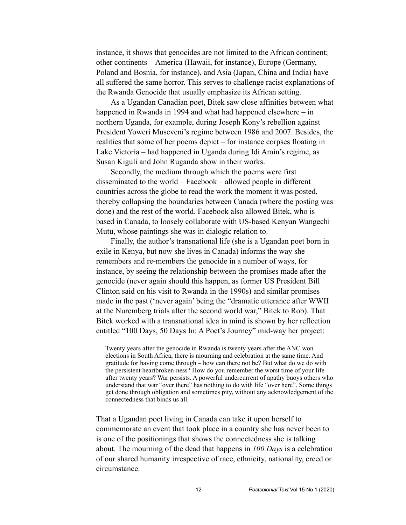instance, it shows that genocides are not limited to the African continent; other continents − America (Hawaii, for instance), Europe (Germany, Poland and Bosnia, for instance), and Asia (Japan, China and India) have all suffered the same horror. This serves to challenge racist explanations of the Rwanda Genocide that usually emphasize its African setting.

As a Ugandan Canadian poet, Bitek saw close affinities between what happened in Rwanda in 1994 and what had happened elsewhere – in northern Uganda, for example, during Joseph Kony's rebellion against President Yoweri Museveni's regime between 1986 and 2007. Besides, the realities that some of her poems depict – for instance corpses floating in Lake Victoria – had happened in Uganda during Idi Amin's regime, as Susan Kiguli and John Ruganda show in their works.

Secondly, the medium through which the poems were first disseminated to the world – Facebook – allowed people in different countries across the globe to read the work the moment it was posted, thereby collapsing the boundaries between Canada (where the posting was done) and the rest of the world. Facebook also allowed Bitek, who is based in Canada, to loosely collaborate with US-based Kenyan Wangechi Mutu, whose paintings she was in dialogic relation to.

Finally, the author's transnational life (she is a Ugandan poet born in exile in Kenya, but now she lives in Canada) informs the way she remembers and re-members the genocide in a number of ways, for instance, by seeing the relationship between the promises made after the genocide (never again should this happen, as former US President Bill Clinton said on his visit to Rwanda in the 1990s) and similar promises made in the past ('never again' being the "dramatic utterance after WWII at the Nuremberg trials after the second world war," Bitek to Rob). That Bitek worked with a transnational idea in mind is shown by her reflection entitled "100 Days, 50 Days In: A Poet's Journey" mid-way her project:

Twenty years after the genocide in Rwanda is twenty years after the ANC won elections in South Africa; there is mourning and celebration at the same time. And gratitude for having come through – how can there not be? But what do we do with the persistent heartbroken-ness? How do you remember the worst time of your life after twenty years? War persists. A powerful undercurrent of apathy buoys others who understand that war "over there" has nothing to do with life "over here". Some things get done through obligation and sometimes pity, without any acknowledgement of the connectedness that binds us all.

That a Ugandan poet living in Canada can take it upon herself to commemorate an event that took place in a country she has never been to is one of the positionings that shows the connectedness she is talking about. The mourning of the dead that happens in *100 Days* is a celebration of our shared humanity irrespective of race, ethnicity, nationality, creed or circumstance.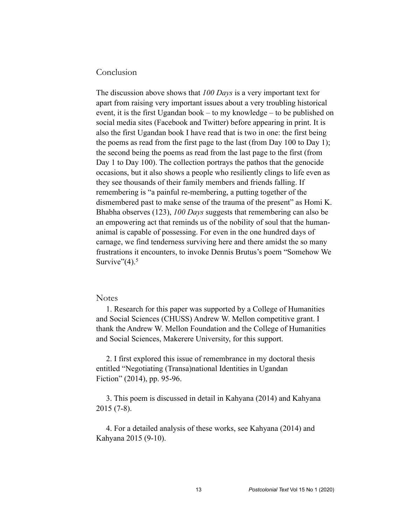## Conclusion

The discussion above shows that *100 Days* is a very important text for apart from raising very important issues about a very troubling historical event, it is the first Ugandan book – to my knowledge – to be published on social media sites (Facebook and Twitter) before appearing in print. It is also the first Ugandan book I have read that is two in one: the first being the poems as read from the first page to the last (from Day 100 to Day 1); the second being the poems as read from the last page to the first (from Day 1 to Day 100). The collection portrays the pathos that the genocide occasions, but it also shows a people who resiliently clings to life even as they see thousands of their family members and friends falling. If remembering is "a painful re-membering, a putting together of the dismembered past to make sense of the trauma of the present" as Homi K. Bhabha observes (123), *100 Days* suggests that remembering can also be an empowering act that reminds us of the nobility of soul that the humananimal is capable of possessing. For even in the one hundred days of carnage, we find tenderness surviving here and there amidst the so many frustrations it encounters, to invoke Dennis Brutus's poem "Somehow We Survive" $(4)$ .<sup>5</sup>

### **Notes**

 1. Research for this paper was supported by a College of Humanities and Social Sciences (CHUSS) Andrew W. Mellon competitive grant. I thank the Andrew W. Mellon Foundation and the College of Humanities and Social Sciences, Makerere University, for this support.

 2. I first explored this issue of remembrance in my doctoral thesis entitled "Negotiating (Transa)national Identities in Ugandan Fiction" (2014), pp. 95-96.

 3. This poem is discussed in detail in Kahyana (2014) and Kahyana 2015 (7-8).

 4. For a detailed analysis of these works, see Kahyana (2014) and Kahyana 2015 (9-10).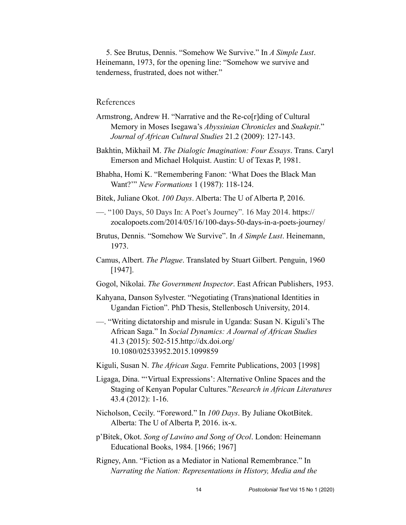5. See Brutus, Dennis. "Somehow We Survive." In *A Simple Lust*. Heinemann, 1973, for the opening line: "Somehow we survive and tenderness, frustrated, does not wither."

# References

- Armstrong, Andrew H. "Narrative and the Re-co[r]ding of Cultural Memory in Moses Isegawa's *Abyssinian Chronicles* and *Snakepit*." *Journal of African Cultural Studies* 21.2 (2009): 127-143.
- Bakhtin, Mikhail M. *The Dialogic Imagination: Four Essays*. Trans. Caryl Emerson and Michael Holquist. Austin: U of Texas P, 1981.

Bhabha, Homi K. "Remembering Fanon: 'What Does the Black Man Want?'" *New Formations* 1 (1987): 118-124.

- Bitek, Juliane Okot. *100 Days*. Alberta: The U of Alberta P, 2016.
- —. "100 Days, 50 Days In: A Poet's Journey". 16 May 2014. https:// [zocalopoets.com/2014/05/16/100-days-50-days-in-a-poets-journey/](https://zocalopoets.com/2014/05/16/100-days-50-days-in-a-poets-journey/)
- Brutus, Dennis. "Somehow We Survive". In *A Simple Lust*. Heinemann, 1973.
- Camus, Albert. *The Plague*. Translated by Stuart Gilbert. Penguin, 1960 [1947].
- Gogol, Nikolai. *The Government Inspector*. East African Publishers, 1953.
- Kahyana, Danson Sylvester. "Negotiating (Trans)national Identities in Ugandan Fiction". PhD Thesis, Stellenbosch University, 2014.
- —. "Writing dictatorship and misrule in Uganda: Susan N. Kiguli's The African Saga." In *Social Dynamics: A Journal of African Studies* 41.3 (2015): 502-515.http://dx.doi.org/ 10.1080/02533952.2015.1099859
- Kiguli, Susan N. *The African Saga*. Femrite Publications, 2003 [1998]
- Ligaga, Dina. "'Virtual Expressions': Alternative Online Spaces and the Staging of Kenyan Popular Cultures."*Research in African Literatures* 43.4 (2012): 1-16.
- Nicholson, Cecily. "Foreword." In *100 Days*. By Juliane OkotBitek. Alberta: The U of Alberta P, 2016. ix-x.
- p'Bitek, Okot. *Song of Lawino and Song of Ocol*. London: Heinemann Educational Books, 1984. [1966; 1967]
- Rigney, Ann. "Fiction as a Mediator in National Remembrance." In *Narrating the Nation: Representations in History, Media and the*